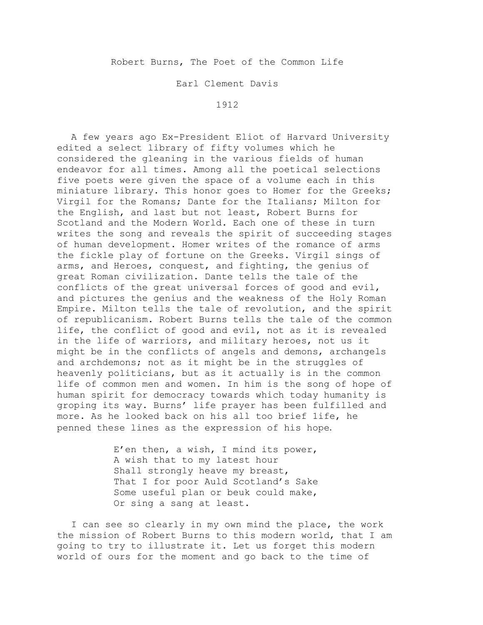Robert Burns, The Poet of the Common Life

Earl Clement Davis

1912

A few years ago Ex-President Eliot of Harvard University edited a select library of fifty volumes which he considered the gleaning in the various fields of human endeavor for all times. Among all the poetica1 selections five poets were given the space of a volume each in this miniature library. This honor goes to Homer for the Greeks; Virgil for the Romans; Dante for the Italians; Milton for the English, and last but not least, Robert Burns for Scotland and the Modern World. Each one of these in turn writes the song and reveals the spirit of succeeding stages of human development. Homer writes of the romance of arms the fickle play of fortune on the Greeks. Virgil sings of arms, and Heroes, conquest, and fighting, the genius of great Roman civilization. Dante tells the tale of the conflicts of the great universal forces of good and evil, and pictures the genius and the weakness of the Holy Roman Empire. Milton tells the tale of revolution, and the spirit of republicanism. Robert Burns tells the tale of the common life, the conflict of good and evil, not as it is revealed in the life of warriors, and military heroes, not us it might be in the conflicts of angels and demons, archangels and archdemons; not as it might be in the struggles of heavenly politicians, but as it actually is in the common life of common men and women. In him is the song of hope of human spirit for democracy towards which today humanity is groping its way. Burns' life prayer has been fulfilled and more. As he looked back on his all too brief 1ife, he penned these lines as the expression of his hope.

> E'en then, a wish, I mind its power, A wish that to my latest hour Shall strongly heave my breast, That I for poor Auld Scotland's Sake Some useful plan or beuk could make, Or sing a sang at least.

I can see so clearly in my own mind the place, the work the mission of Robert Burns to this modern world, that I am going to try to illustrate it. Let us forget this modern world of ours for the moment and go back to the time of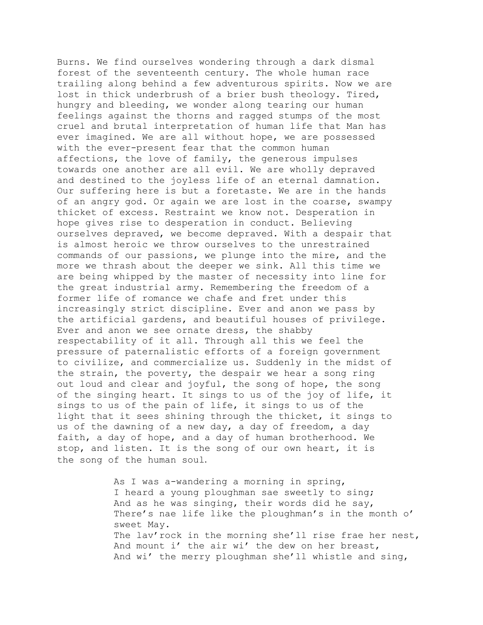Burns. We find ourselves wondering through a dark dismal forest of the seventeenth century. The whole human race trailing along behind a few adventurous spirits. Now we are lost in thick underbrush of a brier bush theology. Tired, hungry and bleeding, we wonder along tearing our human feelings against the thorns and ragged stumps of the most cruel and brutal interpretation of human life that Man has ever imagined. We are all without hope, we are possessed with the ever-present fear that the common human affections, the love of family, the generous impulses towards one another are all evil. We are wholly depraved and destined to the joyless life of an eternal damnation. Our suffering here is but a foretaste. We are in the hands of an angry god. Or again we are lost in the coarse, swampy thicket of excess. Restraint we know not. Desperation in hope gives rise to desperation in conduct. Believing ourselves depraved, we become depraved. With a despair that is almost heroic we throw ourselves to the unrestrained commands of our passions, we plunge into the mire, and the more we thrash about the deeper we sink. All this time we are being whipped by the master of necessity into line for the great industrial army. Remembering the freedom of a former life of romance we chafe and fret under this increasingly strict discipline. Ever and anon we pass by the artificial gardens, and beautiful houses of privilege. Ever and anon we see ornate dress, the shabby respectability of it all. Through all this we feel the pressure of paternalistic efforts of a foreign government to civilize, and commercialize us. Suddenly in the midst of the strain, the poverty, the despair we hear a song ring out loud and clear and joyful, the song of hope, the song of the singing heart. It sings to us of the joy of life, it sings to us of the pain of life, it sings to us of the light that it sees shining through the thicket, it sings to us of the dawning of a new day, a day of freedom, a day faith, a day of hope, and a day of human brotherhood. We stop, and listen. It is the song of our own heart, it is the song of the human soul.

> As I was a-wandering a morning in spring, I heard a young ploughman sae sweetly to sing; And as he was singing, their words did he say, There's nae life like the ploughman's in the month o' sweet May. The lav'rock in the morning she'll rise frae her nest, And mount i' the air wi' the dew on her breast, And wi' the merry ploughman she'll whistle and sing,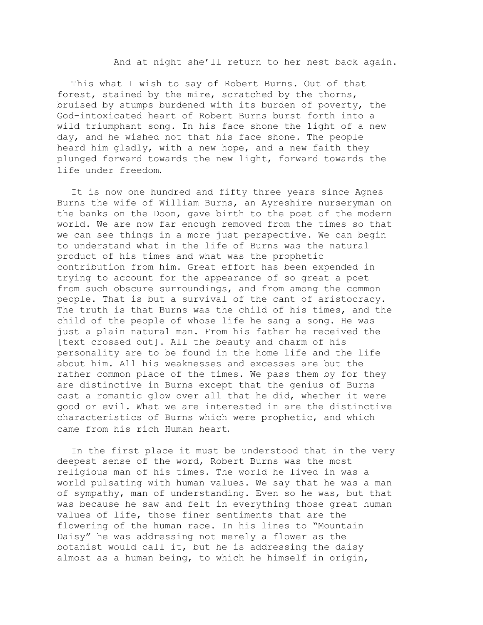And at night she'll return to her nest back again.

This what I wish to say of Robert Burns. Out of that forest, stained by the mire, scratched by the thorns, bruised by stumps burdened with its burden of poverty, the God-intoxicated heart of Robert Burns burst forth into a wild triumphant song. In his face shone the 1ight of a new day, and he wished not that his face shone. The people heard him gladly, with a new hope, and a new faith they plunged forward towards the new light, forward towards the life under freedom.

It is now one hundred and fifty three years since Agnes Burns the wife of William Burns, an Ayreshire nurseryman on the banks on the Doon, gave birth to the poet of the modern world. We are now far enough removed from the times so that we can see things in a more just perspective. We can begin to understand what in the life of Burns was the natural product of his times and what was the prophetic contribution from him. Great effort has been expended in trying to account for the appearance of so great a poet from such obscure surroundings, and from among the common people. That is but a survival of the cant of aristocracy. The truth is that Burns was the child of his times, and the child of the people of whose life he sang a song. He was just a plain natural man. From his father he received the [text crossed out]. All the beauty and charm of his personality are to be found in the home life and the life about him. All his weaknesses and excesses are but the rather common place of the times. We pass them by for they are distinctive in Burns except that the genius of Burns cast a romantic glow over all that he did, whether it were good or evil. What we are interested in are the distinctive characteristics of Burns which were prophetic, and which came from his rich Human heart.

In the first place it must be understood that in the very deepest sense of the word, Robert Burns was the most religious man of his times. The world he lived in was a world pulsating with human values. We say that he was a man of sympathy, man of understanding. Even so he was, but that was because he saw and felt in everything those great human values of life, those finer sentiments that are the flowering of the human race. In his lines to "Mountain Daisy" he was addressing not merely a flower as the botanist would call it, but he is addressing the daisy almost as a human being, to which he himself in origin,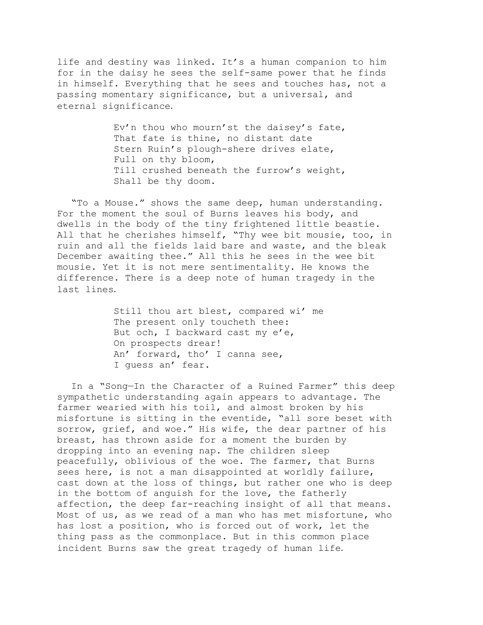life and destiny was linked. It's a human companion to him for in the daisy he sees the self-same power that he finds in himself. Everything that he sees and touches has, not a passing momentary significance, but a universal, and eternal significance.

> Ev'n thou who mourn'st the daisey's fate, That fate is thine, no distant date Stern Ruin's plough-shere drives elate, Full on thy bloom, Till crushed beneath the furrow's weight, Shall be thy doom.

"To a Mouse." shows the same deep, human understanding. For the moment the soul of Burns leaves his body, and dwells in the body of the tiny frightened little beastie. All that he cherishes himself, "Thy wee bit mousie, too, in ruin and all the fields laid bare and waste, and the bleak December awaiting thee." All this he sees in the wee bit mousie. Yet it is not mere sentimentality. He knows the difference. There is a deep note of human tragedy in the last lines.

> Still thou art blest, compared wi' me The present only toucheth thee: But och, I backward cast my e'e, On prospects drear! An' forward, tho' I canna see, I guess an' fear.

In a "Song—In the Character of a Ruined Farmer" this deep sympathetic understanding again appears to advantage. The farmer wearied with his toil, and almost broken by his misfortune is sitting in the eventide, "all sore beset with sorrow, grief, and woe." His wife, the dear partner of his breast, has thrown aside for a moment the burden by dropping into an evening nap. The children sleep peacefully, oblivious of the woe. The farmer, that Burns sees here, is not a man disappointed at worldly failure, cast down at the loss of things, but rather one who is deep in the bottom of anguish for the love, the fatherly affection, the deep far-reaching insight of all that means. Most of us, as we read of a man who has met misfortune, who has lost a position, who is forced out of work, let the thing pass as the commonplace. But in this common place incident Burns saw the great tragedy of human life.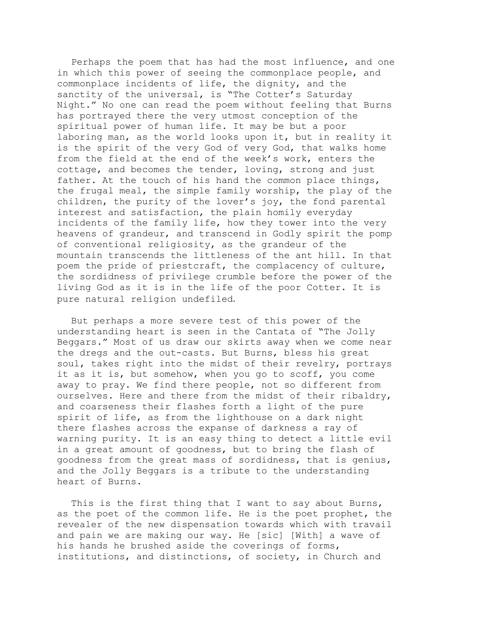Perhaps the poem that has had the most influence, and one in which this power of seeing the commonplace people, and commonplace incidents of life, the dignity, and the sanctity of the universal, is "The Cotter's Saturday Night." No one can read the poem without feeling that Burns has portrayed there the very utmost conception of the spiritual power of human life. It may be but a poor laboring man, as the world looks upon it, but in reality it is the spirit of the very God of very God, that walks home from the field at the end of the week's work, enters the cottage, and becomes the tender, loving, strong and just father. At the touch of his hand the common place things, the frugal meal, the simple family worship, the play of the children, the purity of the lover's joy, the fond parental interest and satisfaction, the plain homily everyday incidents of the family life, how they tower into the very heavens of grandeur, and transcend in Godly spirit the pomp of conventional religiosity, as the grandeur of the mountain transcends the littleness of the ant hill. In that poem the pride of priestcraft, the complacency of culture, the sordidness of privilege crumble before the power of the living God as it is in the life of the poor Cotter. It is pure natural religion undefiled.

But perhaps a more severe test of this power of the understanding heart is seen in the Cantata of "The Jolly Beggars." Most of us draw our skirts away when we come near the dregs and the out-casts. But Burns, bless his great soul, takes right into the midst of their revelry, portrays it as it is, but somehow, when you go to scoff, you come away to pray. We find there people, not so different from ourselves. Here and there from the midst of their ribaldry, and coarseness their flashes forth a light of the pure spirit of life, as from the lighthouse on a dark night there flashes across the expanse of darkness a ray of warning purity. It is an easy thing to detect a little evil in a great amount of goodness, but to bring the flash of goodness from the great mass of sordidness, that is genius, and the Jolly Beggars is a tribute to the understanding heart of Burns.

This is the first thing that I want to say about Burns, as the poet of the common life. He is the poet prophet, the revealer of the new dispensation towards which with travail and pain we are making our way. He [sic] [With] a wave of his hands he brushed aside the coverings of forms, institutions, and distinctions, of society, in Church and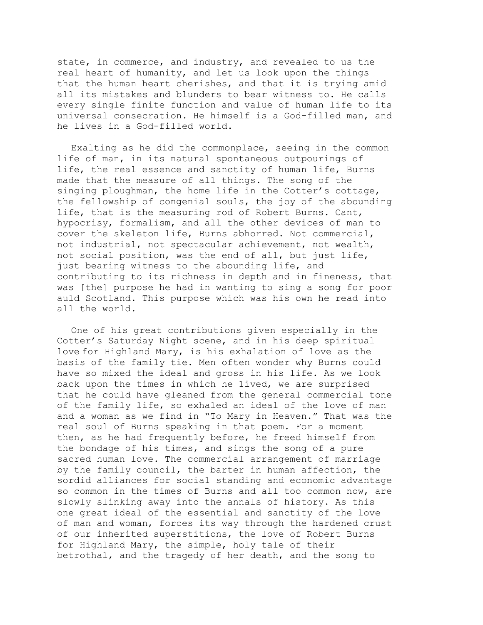state, in commerce, and industry, and revealed to us the real heart of humanity, and let us look upon the things that the human heart cherishes, and that it is trying amid all its mistakes and blunders to bear witness to. He calls every single finite function and value of human life to its universal consecration. He himself is a God-filled man, and he lives in a God-filled world.

Exalting as he did the commonplace, seeing in the common life of man, in its natural spontaneous outpourings of life, the real essence and sanctity of human life, Burns made that the measure of all things. The song of the singing ploughman, the home life in the Cotter's cottage, the fellowship of congenial souls, the joy of the abounding life, that is the measuring rod of Robert Burns. Cant, hypocrisy, formalism, and all the other devices of man to cover the skeleton life, Burns abhorred. Not commercial, not industrial, not spectacular achievement, not wealth, not social position, was the end of all, but just life, just bearing witness to the abounding life, and contributing to its richness in depth and in fineness, that was [the] purpose he had in wanting to sing a song for poor auld Scotland. This purpose which was his own he read into all the world.

One of his great contributions given especially in the Cotter's Saturday Night scene, and in his deep spiritual love for Highland Mary, is his exhalation of love as the basis of the family tie. Men often wonder why Burns could have so mixed the ideal and gross in his life. As we look back upon the times in which he 1ived, we are surprised that he could have gleaned from the general commercial tone of the family life, so exhaled an ideal of the love of man and a woman as we find in "To Mary in Heaven." That was the real soul of Burns speaking in that poem. For a moment then, as he had frequently before, he freed himself from the bondage of his times, and sings the song of a pure sacred human love. The commercial arrangement of marriage by the family council, the barter in human affection, the sordid alliances for socia1 standing and economic advantage so common in the times of Burns and all too common now, are slowly slinking away into the annals of history. As this one great ideal of the essential and sanctity of the love of man and woman, forces its way through the hardened crust of our inherited superstitions, the love of Robert Burns for Highland Mary, the simple, holy tale of their betrothal, and the tragedy of her death, and the song to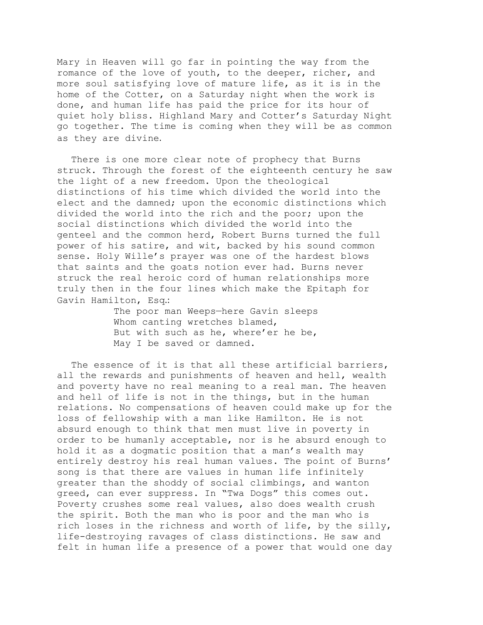Mary in Heaven will go far in pointing the way from the romance of the love of youth, to the deeper, richer, and more soul satisfying love of mature life, as it is in the home of the Cotter, on a Saturday night when the work is done, and human life has paid the price for its hour of quiet holy bliss. Highland Mary and Cotter's Saturday Night go together. The time is coming when they will be as common as they are divine.

There is one more clear note of prophecy that Burns struck. Through the forest of the eighteenth century he saw the light of a new freedom. Upon the theologica1 distinctions of his time which divided the world into the elect and the damned; upon the economic distinctions which divided the world into the rich and the poor; upon the social distinctions which divided the world into the genteel and the common herd, Robert Burns turned the full power of his satire, and wit, backed by his sound common sense. Holy Wille's prayer was one of the hardest blows that saints and the goats notion ever had. Burns never struck the real heroic cord of human relationships more truly then in the four lines which make the Epitaph for Gavin Hamilton, Esq.:

> The poor man Weeps—here Gavin sleeps Whom canting wretches blamed, But with such as he, where'er he be, May I be saved or damned.

The essence of it is that all these artificial barriers, all the rewards and punishments of heaven and hell, wealth and poverty have no real meaning to a real man. The heaven and hell of life is not in the things, but in the human relations. No compensations of heaven could make up for the loss of fellowship with a man like Hamilton. He is not absurd enough to think that men must live in poverty in order to be humanly acceptable, nor is he absurd enough to hold it as a dogmatic position that a man's wealth may entirely destroy his real human values. The point of Burns' song is that there are values in human life infinitely greater than the shoddy of social climbings, and wanton greed, can ever suppress. In "Twa Dogs" this comes out. Poverty crushes some real values, also does wealth crush the spirit. Both the man who is poor and the man who is rich loses in the richness and worth of life, by the silly, life-destroying ravages of class distinctions. He saw and felt in human life a presence of a power that would one day